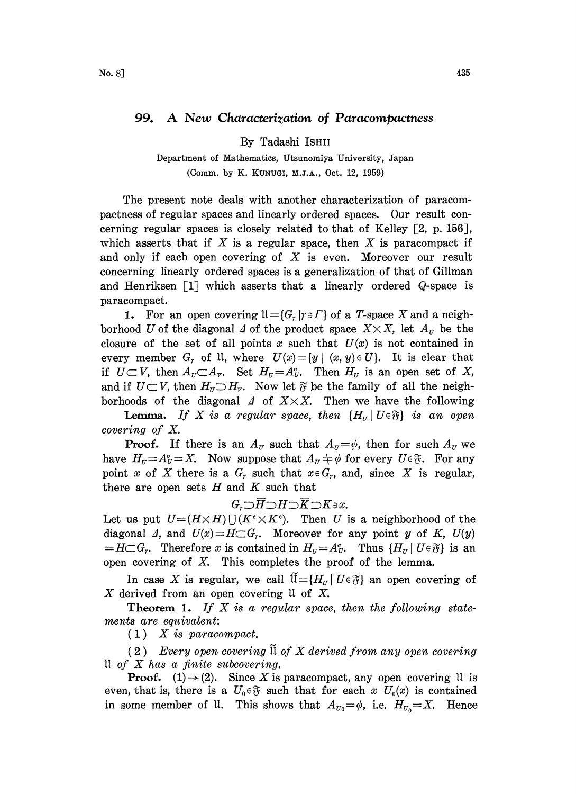## 99. A New Characterization of Paracompactness

By Tadashi ISHII

Department of Mathematics, Utsunomiya University, Japan (Comm. by K. KUNUCI, M.J.A., Oct. 12, 1959)

The present note deals with another characterization of paracompactness of regular spaces and linearly ordered spaces. Our result concerning regular spaces is closely related to that of Kelley  $\lceil 2, p. 156 \rceil$ , which asserts that if  $X$  is a regular space, then  $X$  is paracompact if and only if each open covering of  $X$  is even. Moreover our result concerning linearly ordered spaces is a generalization of that of Gillman and Henriksen  $\begin{bmatrix} 1 \end{bmatrix}$  which asserts that a linearly ordered Q-space is paracompact.

1. For an open covering  $\mathfrak{U} = \{G_r | \gamma \ni \Gamma\}$  of a T-space X and a neighborhood U of the diagonal  $\Delta$  of the product space  $X \times X$ , let  $A_{\scriptscriptstyle U}$  be the closure of the set of all points x such that  $U(x)$  is not contained in every member  $G_r$  of  $U$ , where  $U(x) = \{y \mid (x, y) \in U\}$ . It is clear that if  $U \subset V$ , then  $A_U \subset A_V$ . Set  $H_U = A_U^c$ . Then  $H_U$  is an open set of X, if  $U \subset V$ , then  $A_U \subset A_V$ . Set  $H_U = A_U^c$ . Then  $H_U$  is an open set of X, and if  $U \subset V$ , then  $H_U \supset H_V$ . Now let  $\mathfrak F$  be the family of all the neighborhoods of the diagonal  $\Delta$  of  $X \times X$ . Then we have the following

**Lemma.** If X is a regular space, then  $\{H_{II} \mid U \in \mathfrak{F}\}\$  is an open covering of X.

**Proof.** If there is an  $A_{\nu}$  such that  $A_{\nu} = \phi$ , then for such  $A_{\nu}$  we have  $H_{\nu} = A_{\nu}^c = X$ . Now suppose that  $A_{\nu} \neq \phi$  for every  $U \in \mathfrak{F}$ . For any point x of X there is a  $G_r$  such that  $x \in G_r$ , and, since X is regular, there are open sets  $H$  and  $K$  such that

$$
G_{r} \supset \overline{H} \supset H \supset \overline{K} \supset K \circ x.
$$

Let us put  $U=(H\times H)\bigcup (K^c\times K^c)$ . Then U is a neighborhood of the diagonal 4, and  $U(x) = H \subset G_r$ . Moreover for any point y of K,  $U(y)$  $=H\subset G_r$ . Therefore x is contained in  $H_v=A_v^c$ . Thus  $\{H_v\mid U\in\mathfrak{F}\}\$ is an open covering of  $X$ . This completes the proof of the lemma.

In case X is regular, we call  $\widetilde{\mathfrak{U}}=\{H_{\mathfrak{U}}\mid U\in\mathfrak{F}\}\;$  an open covering of X derived from an open covering  $\mathfrak U$  of X.

**Theorem 1.** If  $X$  is a regular space, then the following statements are equivalent:

 $(1)$  X is paracompact.

 $(2)$  Every open covering  $\widetilde{\mathfrak{u}}$  of X derived from any open covering 11 of  $X$  has a finite subcovering.

**Proof.** (1) $\rightarrow$  (2). Since X is paracompact, any open covering U is even, that is, there is a  $U_0 \in \mathfrak{F}$  such that for each x  $U_0(x)$  is contained in some member of U. This shows that  $A_{U_0} = \phi$ , i.e.  $H_{U_0} = X$ . Hence